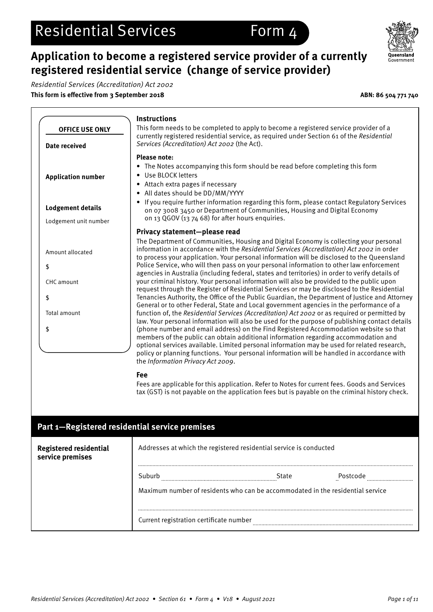## **Application to become a registered service provider of a currently registered residential service (change of service provider)**

Residential Services (Accreditation) Act 2002 **This form is effective from 3 September 2018 ABN: 86 504 771 740**

\$

\$

\$



**Instructions** This form needs to be completed to apply to become a registered service provider of a currently registered residential service, as required under Section 61 of the Residential Services (Accreditation) Act 2002 (the Act). **Please note:** • The Notes accompanying this form should be read before completing this form • Use BLOCK letters • Attach extra pages if necessary • All dates should be DD/MM/YYYY • If you require further information regarding this form, please contact Regulatory Services on 07 3008 3450 or Department of Communities, Housing and Digital Economy on 13 QGOV (13 74 68) for after hours enquiries. **Privacy statement—please read** The Department of Communities, Housing and Digital Economy is collecting your personal information in accordance with the Residential Services (Accreditation) Act 2002 in order to process your application. Your personal information will be disclosed to the Queensland Police Service, who will then pass on your personal information to other law enforcement agencies in Australia (including federal, states and territories) in order to verify details of your criminal history. Your personal information will also be provided to the public upon request through the Register of Residential Services or may be disclosed to the Residential Tenancies Authority, the Office of the Public Guardian, the Department of Justice and Attorney General or to other Federal, State and Local government agencies in the performance of a function of, the Residential Services (Accreditation) Act 2002 or as required or permitted by law. Your personal information will also be used for the purpose of publishing contact details (phone number and email address) on the Find Registered Accommodation website so that members of the public can obtain additional information regarding accommodation and optional services available. Limited personal information may be used for related research, policy or planning functions. Your personal information will be handled in accordance with the Information Privacy Act 2009. **OFFICE USE ONLY Date received Application number Lodgement details** Lodgement unit number Amount allocated CHC amount Total amount

### **Fee**

Fees are applicable for this application. Refer to Notes for current fees. Goods and Services tax (GST) is not payable on the application fees but is payable on the criminal history check.

## **Part 1—Registered residential service premises Registered residential**  Addresses at which the registered residential service is conducted **service premises** Suburb **Example 20** State **Postcode Postcode Example 20** State **Postcode Postcode Example 20**  $\mathbf{r}$ Maximum number of residents who can be accommodated in the residential service QLD NSW VIC TASSAWA NTACTCurrent registration certificate number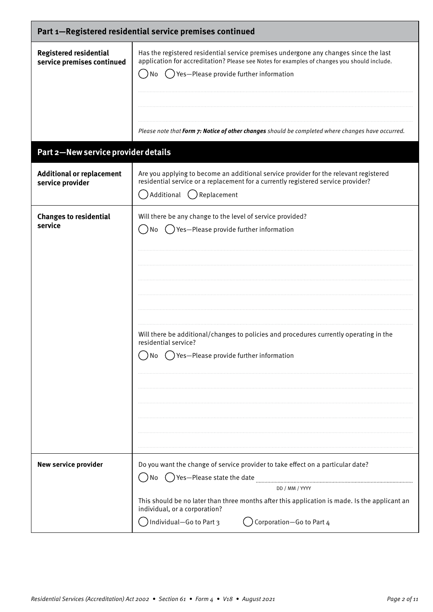| Part 1-Registered residential service premises continued    |                                                                                                                                                                                                                                                                                                                                              |
|-------------------------------------------------------------|----------------------------------------------------------------------------------------------------------------------------------------------------------------------------------------------------------------------------------------------------------------------------------------------------------------------------------------------|
| <b>Registered residential</b><br>service premises continued | Has the registered residential service premises undergone any changes since the last<br>application for accreditation? Please see Notes for examples of changes you should include.<br>() Yes-Please provide further information<br>No<br>Please note that Form 7: Notice of other changes should be completed where changes have occurred.  |
| Part 2-New service provider details                         |                                                                                                                                                                                                                                                                                                                                              |
| <b>Additional or replacement</b><br>service provider        | Are you applying to become an additional service provider for the relevant registered<br>residential service or a replacement for a currently registered service provider?<br>Additional<br>() Replacement                                                                                                                                   |
| <b>Changes to residential</b><br>service                    | Will there be any change to the level of service provided?<br>Yes-Please provide further information<br>No<br>Will there be additional/changes to policies and procedures currently operating in the<br>residential service?<br>$\bigcirc$ Yes—Please provide further information                                                            |
| <b>New service provider</b>                                 | Do you want the change of service provider to take effect on a particular date?<br>$\binom{1}{2}$ Yes-Please state the date<br>No<br>DD / MM / YYYY<br>This should be no later than three months after this application is made. Is the applicant an<br>individual, or a corporation?<br>Individual-Go to Part 3<br>Corporation-Go to Part 4 |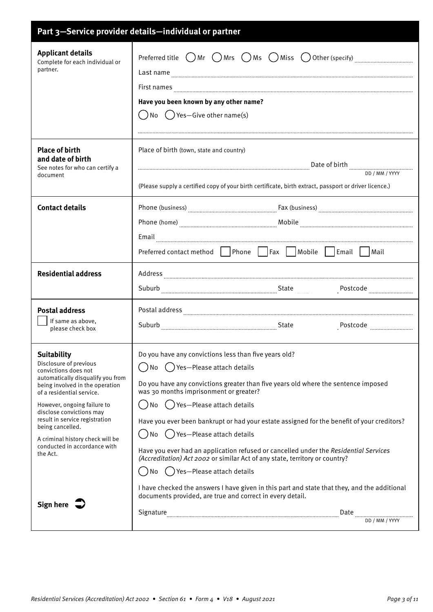| Part 3-Service provider details-individual or partner                                                                                                                                                                                                                                                                                                                      |                                                                                                                                                                                                                                                                                                                                                                                                                                                                                                                                                                                                                                    |
|----------------------------------------------------------------------------------------------------------------------------------------------------------------------------------------------------------------------------------------------------------------------------------------------------------------------------------------------------------------------------|------------------------------------------------------------------------------------------------------------------------------------------------------------------------------------------------------------------------------------------------------------------------------------------------------------------------------------------------------------------------------------------------------------------------------------------------------------------------------------------------------------------------------------------------------------------------------------------------------------------------------------|
| <b>Applicant details</b><br>Complete for each individual or<br>partner.                                                                                                                                                                                                                                                                                                    | Preferred title $\bigcap$ Mr $\bigcap$ Mrs $\bigcap$ Ms $\bigcap$ Miss $\bigcup$ Other (specify) $\ldots$<br>Have you been known by any other name?<br>$\bigcap$ No $\bigcap$ Yes—Give other name(s)                                                                                                                                                                                                                                                                                                                                                                                                                               |
| <b>Place of birth</b><br>and date of birth<br>See notes for who can certify a<br>document                                                                                                                                                                                                                                                                                  | Place of birth (town, state and country)<br>(Please supply a certified copy of your birth certificate, birth extract, passport or driver licence.)                                                                                                                                                                                                                                                                                                                                                                                                                                                                                 |
| <b>Contact details</b>                                                                                                                                                                                                                                                                                                                                                     | Phone (business) <b>Election:</b> Eax (business) <b>Election: Election: Election: Election: Election: Election: Election: Election: Election: Election: Election: Election: Election: Election: Election: Election: Election: Electio</b><br>Preferred contact method   Phone     Fax     Mobile     Email     Mail                                                                                                                                                                                                                                                                                                                |
| <b>Residential address</b>                                                                                                                                                                                                                                                                                                                                                 | Suburb Electron Communication of the State                                                                                                                                                                                                                                                                                                                                                                                                                                                                                                                                                                                         |
| <b>Postal address</b><br>If same as above,<br>please check box                                                                                                                                                                                                                                                                                                             |                                                                                                                                                                                                                                                                                                                                                                                                                                                                                                                                                                                                                                    |
| <b>Suitability</b><br>Disclosure of previous<br>convictions does not<br>automatically disqualify you from<br>being involved in the operation<br>of a residential service.<br>However, ongoing failure to<br>disclose convictions may<br>result in service registration<br>being cancelled.<br>A criminal history check will be<br>conducted in accordance with<br>the Act. | Do you have any convictions less than five years old?<br>No () Yes-Please attach details<br>$\overline{\phantom{a}}$<br>Do you have any convictions greater than five years old where the sentence imposed<br>was 30 months imprisonment or greater?<br>No () Yes-Please attach details<br>Have you ever been bankrupt or had your estate assigned for the benefit of your creditors?<br>No () Yes-Please attach details<br>Have you ever had an application refused or cancelled under the Residential Services<br>(Accreditation) Act 2002 or similar Act of any state, territory or country?<br>No () Yes-Please attach details |
| Sign here                                                                                                                                                                                                                                                                                                                                                                  | I have checked the answers I have given in this part and state that they, and the additional<br>documents provided, are true and correct in every detail.                                                                                                                                                                                                                                                                                                                                                                                                                                                                          |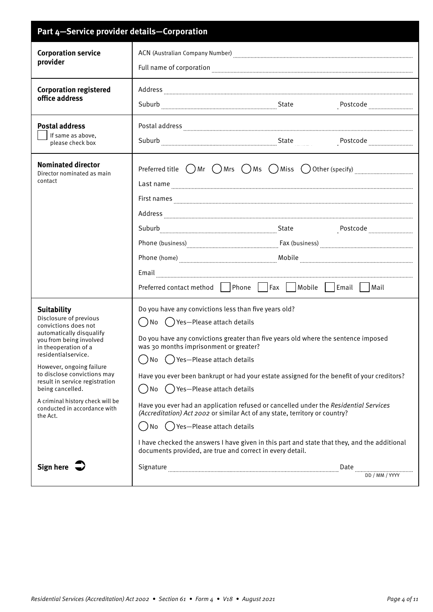| Part 4-Service provider details-Corporation                                                                                                                                                                                                                                                                                                                                 |                                                                                                                                                                                                                                                                                                                                                                                                                                                                                                                                                                                                                                                                                                                                                                                   |
|-----------------------------------------------------------------------------------------------------------------------------------------------------------------------------------------------------------------------------------------------------------------------------------------------------------------------------------------------------------------------------|-----------------------------------------------------------------------------------------------------------------------------------------------------------------------------------------------------------------------------------------------------------------------------------------------------------------------------------------------------------------------------------------------------------------------------------------------------------------------------------------------------------------------------------------------------------------------------------------------------------------------------------------------------------------------------------------------------------------------------------------------------------------------------------|
| <b>Corporation service</b><br>provider                                                                                                                                                                                                                                                                                                                                      |                                                                                                                                                                                                                                                                                                                                                                                                                                                                                                                                                                                                                                                                                                                                                                                   |
| <b>Corporation registered</b><br>office address                                                                                                                                                                                                                                                                                                                             | $\large \bf Address \underline{\hspace{1cm}} \underline{\hspace{1cm}}$<br>Suburb Electron Contract Contract Contract Contract Contract Contract Contract Contract Contract Contract Contract Contract Contract Contract Contract Contract Contract Contract Contract Contract Contract Contract Contract<br>Postcode <sub>…………………………</sub>                                                                                                                                                                                                                                                                                                                                                                                                                                        |
| <b>Postal address</b><br>If same as above,<br>please check box                                                                                                                                                                                                                                                                                                              |                                                                                                                                                                                                                                                                                                                                                                                                                                                                                                                                                                                                                                                                                                                                                                                   |
| <b>Nominated director</b><br>Director nominated as main<br>contact                                                                                                                                                                                                                                                                                                          | Preferred title $\bigcirc$ Mr $\bigcirc$ Mrs $\bigcirc$ Ms $\bigcirc$ Miss $\bigcirc$ Other (specify) $\ldots$ $\ldots$ $\ldots$ $\ldots$ $\ldots$<br>Phone (business) <b>www.community.community.community.community.community.community.community.community.community.community.community.community.community.community.community.community.community.community.community.community.</b><br>Preferred contact method   Phone     Fax     Mobile     Email     Mail                                                                                                                                                                                                                                                                                                              |
| <b>Suitability</b><br>Disclosure of previous<br>convictions does not<br>automatically disqualify<br>you from being involved<br>in theoperation of a<br>residentialservice.<br>However, ongoing failure<br>to disclose convictions may<br>result in service registration<br>being cancelled.<br>A criminal history check will be<br>conducted in accordance with<br>the Act. | Do you have any convictions less than five years old?<br>()No ()Yes-Please attach details<br>Do you have any convictions greater than five years old where the sentence imposed<br>was 30 months imprisonment or greater?<br>() Yes-Please attach details<br>No<br>Have you ever been bankrupt or had your estate assigned for the benefit of your creditors?<br>No () Yes-Please attach details<br>$\Box$<br>Have you ever had an application refused or cancelled under the Residential Services<br>(Accreditation) Act 2002 or similar Act of any state, territory or country?<br>No () Yes-Please attach details<br>I have checked the answers I have given in this part and state that they, and the additional<br>documents provided, are true and correct in every detail. |
| Sign here $\overline{\rightarrow}$                                                                                                                                                                                                                                                                                                                                          | Signature manufacture manufacture manufacture manufacture manufacture manufacture manufacture manufacture manufacture                                                                                                                                                                                                                                                                                                                                                                                                                                                                                                                                                                                                                                                             |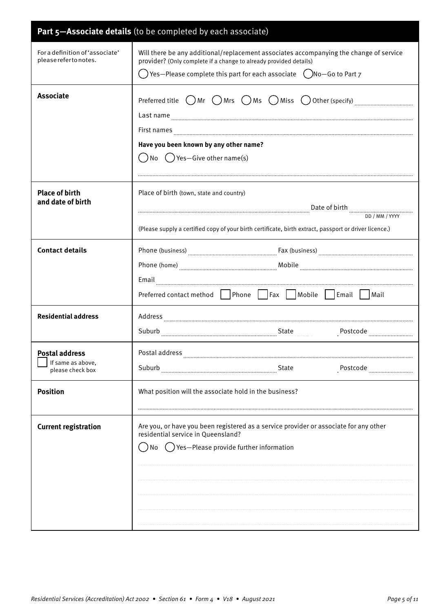|                                                          | Part 5-Associate details (to be completed by each associate)                                                                                                |
|----------------------------------------------------------|-------------------------------------------------------------------------------------------------------------------------------------------------------------|
| For a definition of 'associate'<br>please referto notes. | Will there be any additional/replacement associates accompanying the change of service<br>provider? (Only complete if a change to already provided details) |
|                                                          | $\bigcirc$ ) Yes—Please complete this part for each associate $\hspace{0.5cm}$ $\bigcirc$ )No—Go to Part $7$                                                |
| <b>Associate</b>                                         | Preferred title $\bigcirc$ Mr $\bigcirc$ Mrs $\bigcirc$ Ms $\bigcirc$ Miss $\bigcirc$ Other (specify) $\ldots$                                              |
|                                                          | Last name www.communication.com/www.com/www.com/www.com/www.com/www.com/www.com/www.com/www.com/www.com/www.com/                                            |
|                                                          | Have you been known by any other name?                                                                                                                      |
|                                                          | () No () Yes—Give other name(s)                                                                                                                             |
|                                                          |                                                                                                                                                             |
|                                                          |                                                                                                                                                             |
| <b>Place of birth</b><br>and date of birth               | Place of birth (town, state and country)                                                                                                                    |
|                                                          |                                                                                                                                                             |
|                                                          | (Please supply a certified copy of your birth certificate, birth extract, passport or driver licence.)                                                      |
| <b>Contact details</b>                                   |                                                                                                                                                             |
|                                                          |                                                                                                                                                             |
|                                                          |                                                                                                                                                             |
|                                                          | Preferred contact method   Phone     Fax     Mobile     Email     Mail                                                                                      |
| <b>Residential address</b>                               |                                                                                                                                                             |
|                                                          |                                                                                                                                                             |
| <b>Postal address</b>                                    | Postal address                                                                                                                                              |
| If same as above,<br>please check box                    | Suburb<br>State<br>Postcode                                                                                                                                 |
| <b>Position</b>                                          | What position will the associate hold in the business?                                                                                                      |
|                                                          |                                                                                                                                                             |
| <b>Current registration</b>                              | Are you, or have you been registered as a service provider or associate for any other<br>residential service in Queensland?                                 |
|                                                          | () Yes-Please provide further information<br>No                                                                                                             |
|                                                          |                                                                                                                                                             |
|                                                          |                                                                                                                                                             |
|                                                          |                                                                                                                                                             |
|                                                          |                                                                                                                                                             |
|                                                          |                                                                                                                                                             |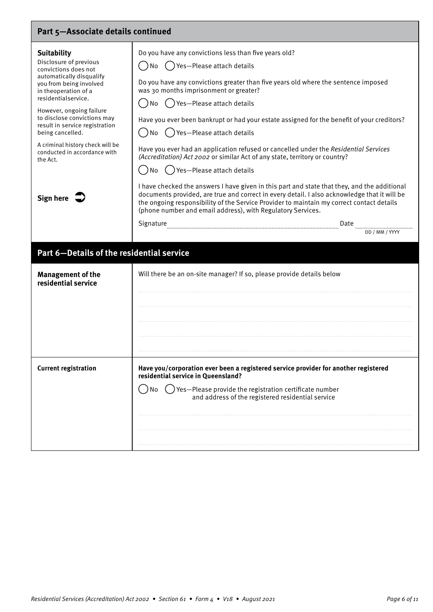| Part 5-Associate details continued                                                                                                                                                                                                                                                                                                                                          |                                                                                                                                                                                                                                                                                                                                                                                                                                                                                                                                                                                                                  |
|-----------------------------------------------------------------------------------------------------------------------------------------------------------------------------------------------------------------------------------------------------------------------------------------------------------------------------------------------------------------------------|------------------------------------------------------------------------------------------------------------------------------------------------------------------------------------------------------------------------------------------------------------------------------------------------------------------------------------------------------------------------------------------------------------------------------------------------------------------------------------------------------------------------------------------------------------------------------------------------------------------|
| <b>Suitability</b><br>Disclosure of previous<br>convictions does not<br>automatically disqualify<br>you from being involved<br>in theoperation of a<br>residentialservice.<br>However, ongoing failure<br>to disclose convictions may<br>result in service registration<br>being cancelled.<br>A criminal history check will be<br>conducted in accordance with<br>the Act. | Do you have any convictions less than five years old?<br>No () Yes—Please attach details<br>Do you have any convictions greater than five years old where the sentence imposed<br>was 30 months imprisonment or greater?<br>No $($ ) Yes-Please attach details<br>Have you ever been bankrupt or had your estate assigned for the benefit of your creditors?<br>│ ) No ( )Yes—Please attach details<br>Have you ever had an application refused or cancelled under the Residential Services<br>(Accreditation) Act 2002 or similar Act of any state, territory or country?<br>No $($ ) Yes-Please attach details |
| Sign here $\sqrt{ }$                                                                                                                                                                                                                                                                                                                                                        | I have checked the answers I have given in this part and state that they, and the additional<br>documents provided, are true and correct in every detail. I also acknowledge that it will be<br>the ongoing responsibility of the Service Provider to maintain my correct contact details<br>(phone number and email address), with Regulatory Services.<br>Signature<br>Date<br>DD / MM / YYYY                                                                                                                                                                                                                  |
| Part 6-Details of the residential service                                                                                                                                                                                                                                                                                                                                   |                                                                                                                                                                                                                                                                                                                                                                                                                                                                                                                                                                                                                  |
| <b>Management of the</b><br>residential service                                                                                                                                                                                                                                                                                                                             | Will there be an on-site manager? If so, please provide details below                                                                                                                                                                                                                                                                                                                                                                                                                                                                                                                                            |
| <b>Current registration</b>                                                                                                                                                                                                                                                                                                                                                 | Have you/corporation ever been a registered service provider for another registered<br>residential service in Queensland?<br>No $\bigcirc$ ) Yes-Please provide the registration certificate number<br>and address of the registered residential service                                                                                                                                                                                                                                                                                                                                                         |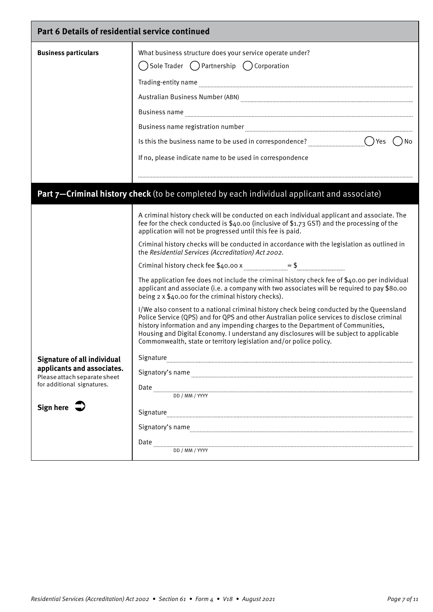| Part 6 Details of residential service continued            |                                                                                                                                                                                                                                                                                                                                                                                                                                            |
|------------------------------------------------------------|--------------------------------------------------------------------------------------------------------------------------------------------------------------------------------------------------------------------------------------------------------------------------------------------------------------------------------------------------------------------------------------------------------------------------------------------|
| <b>Business particulars</b>                                | What business structure does your service operate under?                                                                                                                                                                                                                                                                                                                                                                                   |
|                                                            | $\bigcirc$ Sole Trader $\bigcirc$ Partnership $\bigcirc$ Corporation                                                                                                                                                                                                                                                                                                                                                                       |
|                                                            |                                                                                                                                                                                                                                                                                                                                                                                                                                            |
|                                                            |                                                                                                                                                                                                                                                                                                                                                                                                                                            |
|                                                            | Business name <b>communications</b> and construct the construction of the construction of the construction of the construction of the construction of the construction of the construction of the construction of the construction                                                                                                                                                                                                         |
|                                                            |                                                                                                                                                                                                                                                                                                                                                                                                                                            |
|                                                            |                                                                                                                                                                                                                                                                                                                                                                                                                                            |
|                                                            | If no, please indicate name to be used in correspondence                                                                                                                                                                                                                                                                                                                                                                                   |
|                                                            |                                                                                                                                                                                                                                                                                                                                                                                                                                            |
|                                                            | Part 7-Criminal history check (to be completed by each individual applicant and associate)                                                                                                                                                                                                                                                                                                                                                 |
|                                                            | A criminal history check will be conducted on each individual applicant and associate. The<br>fee for the check conducted is \$40.00 (inclusive of \$1.73 GST) and the processing of the<br>application will not be progressed until this fee is paid.                                                                                                                                                                                     |
|                                                            | Criminal history checks will be conducted in accordance with the legislation as outlined in<br>the Residential Services (Accreditation) Act 2002.                                                                                                                                                                                                                                                                                          |
|                                                            |                                                                                                                                                                                                                                                                                                                                                                                                                                            |
|                                                            | The application fee does not include the criminal history check fee of \$40.00 per individual<br>applicant and associate (i.e. a company with two associates will be required to pay \$80.00<br>being $2 \times $40.00$ for the criminal history checks).                                                                                                                                                                                  |
|                                                            | I/We also consent to a national criminal history check being conducted by the Queensland<br>Police Service (QPS) and for QPS and other Australian police services to disclose criminal<br>history information and any impending charges to the Department of Communities,<br>Housing and Digital Economy. I understand any disclosures will be subject to applicable<br>Commonwealth, state or territory legislation and/or police policy. |
| Signature of all individual                                | Signature                                                                                                                                                                                                                                                                                                                                                                                                                                  |
| applicants and associates.<br>Please attach separate sheet |                                                                                                                                                                                                                                                                                                                                                                                                                                            |
| for additional signatures.                                 | Date                                                                                                                                                                                                                                                                                                                                                                                                                                       |
|                                                            | DD / MM / YYYY                                                                                                                                                                                                                                                                                                                                                                                                                             |
| Sign here $\sum$                                           | Signature                                                                                                                                                                                                                                                                                                                                                                                                                                  |
|                                                            | Signatory's name                                                                                                                                                                                                                                                                                                                                                                                                                           |
|                                                            | Date                                                                                                                                                                                                                                                                                                                                                                                                                                       |
|                                                            | DD / MM / YYYY                                                                                                                                                                                                                                                                                                                                                                                                                             |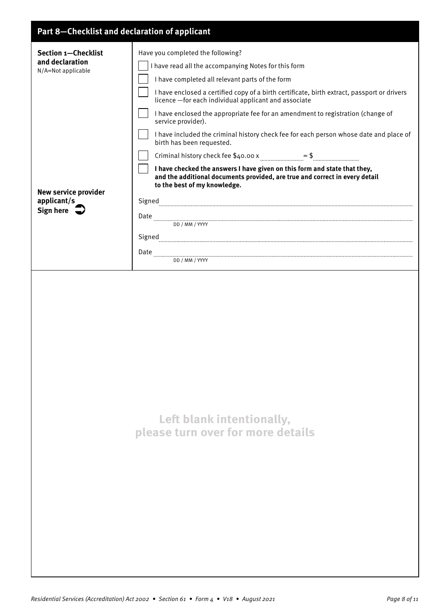## **Part 8—Checklist and declaration of applicant**

| Part o—checkust and declaration or applicant                        |                                                                                                                                                                                                                                                                                                                                                                                                                                                                                                                                      |
|---------------------------------------------------------------------|--------------------------------------------------------------------------------------------------------------------------------------------------------------------------------------------------------------------------------------------------------------------------------------------------------------------------------------------------------------------------------------------------------------------------------------------------------------------------------------------------------------------------------------|
| <b>Section 1-Checklist</b><br>and declaration<br>N/A=Not applicable | Have you completed the following?<br>I have read all the accompanying Notes for this form<br>I have completed all relevant parts of the form<br>I have enclosed a certified copy of a birth certificate, birth extract, passport or drivers<br>licence - for each individual applicant and associate<br>I have enclosed the appropriate fee for an amendment to registration (change of<br>service provider).<br>I have included the criminal history check fee for each person whose date and place of<br>birth has been requested. |
| <b>New service provider</b>                                         | Criminal history check fee $$40.00 x$ manufactures $$$ manufactures $$$ manufactures $$$<br>I have checked the answers I have given on this form and state that they,<br>and the additional documents provided, are true and correct in every detail<br>to the best of my knowledge.                                                                                                                                                                                                                                                 |
| applicant/s<br>Sign here $\Rightarrow$                              | ${\Large \bf Signed} \label{thm:nonlinear} {\small \bf Signed} \label{thm:nonlinear}$<br>$\textbf{Date} \textcolor{red}{}\_\textcolor{blue}{\textbf{}\_\textbf{0}}\textcolor{blue}{\textbf{}\_\textbf{1}}$<br>DD / MM / YYYY                                                                                                                                                                                                                                                                                                         |
|                                                                     |                                                                                                                                                                                                                                                                                                                                                                                                                                                                                                                                      |
|                                                                     |                                                                                                                                                                                                                                                                                                                                                                                                                                                                                                                                      |
|                                                                     | Left blank intentionally,<br>please turn over for more details                                                                                                                                                                                                                                                                                                                                                                                                                                                                       |
|                                                                     |                                                                                                                                                                                                                                                                                                                                                                                                                                                                                                                                      |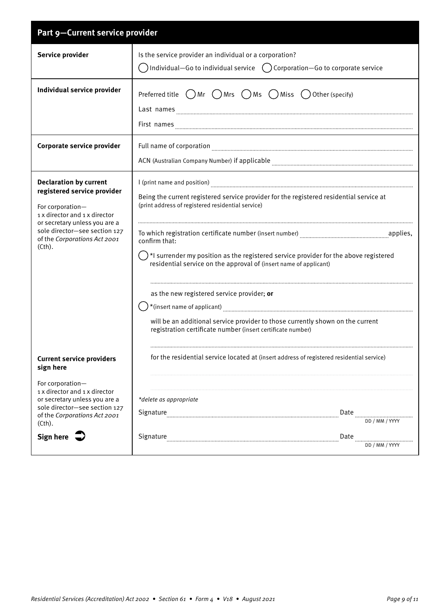| Part 9-Current service provider                                                                                                                                                                                               |                                                                                                                                                                                                                                                                                                                                                                                                                                                                                                                                                                                                                               |
|-------------------------------------------------------------------------------------------------------------------------------------------------------------------------------------------------------------------------------|-------------------------------------------------------------------------------------------------------------------------------------------------------------------------------------------------------------------------------------------------------------------------------------------------------------------------------------------------------------------------------------------------------------------------------------------------------------------------------------------------------------------------------------------------------------------------------------------------------------------------------|
| Service provider                                                                                                                                                                                                              | Is the service provider an individual or a corporation?<br>Individual—Go to individual service $\left( \right)$ Corporation—Go to corporate service                                                                                                                                                                                                                                                                                                                                                                                                                                                                           |
| Individual service provider                                                                                                                                                                                                   | Preferred title $\bigcirc$ Mr $\bigcirc$ Mrs $\bigcirc$ Ms $\bigcirc$ Miss $\bigcirc$ Other (specify)<br>First names                                                                                                                                                                                                                                                                                                                                                                                                                                                                                                          |
| Corporate service provider                                                                                                                                                                                                    | Full name of corporation <b>manufacture and container and container and container and container and container and container and container and container and container and container and container and container and container an</b>                                                                                                                                                                                                                                                                                                                                                                                          |
| <b>Declaration by current</b><br>registered service provider<br>For corporation-<br>1 x director and 1 x director<br>or secretary unless you are a<br>sole director-see section 127<br>of the Corporations Act 2001<br>(Cth). | Being the current registered service provider for the registered residential service at<br>(print address of registered residential service)<br>To which registration certificate number (insert number) [11,121] applies,<br>confirm that:<br>$\langle \ \ \rangle$ *I surrender my position as the registered service provider for the above registered<br>residential service on the approval of (insert name of applicant)<br>as the new registered service provider; or<br>will be an additional service provider to those currently shown on the current<br>registration certificate number (insert certificate number) |
| <b>Current service providers</b><br>sign here<br>For corporation-                                                                                                                                                             | for the residential service located at (insert address of registered residential service)                                                                                                                                                                                                                                                                                                                                                                                                                                                                                                                                     |
| 1 x director and 1 x director<br>or secretary unless you are a<br>sole director-see section 127<br>of the Corporations Act 2001<br>(Cth).                                                                                     | *delete as appropriate<br>Signature <b>Example 2018</b> 2014 Date <b>Constant Construction Construction</b> Construction Construction Construction Construction Construction Construction Construction Construction Construction Construction Construction Constru                                                                                                                                                                                                                                                                                                                                                            |
| Sign here $\overline{\rightarrow}$                                                                                                                                                                                            | Date<br><br>DD / MM / YYYY                                                                                                                                                                                                                                                                                                                                                                                                                                                                                                                                                                                                    |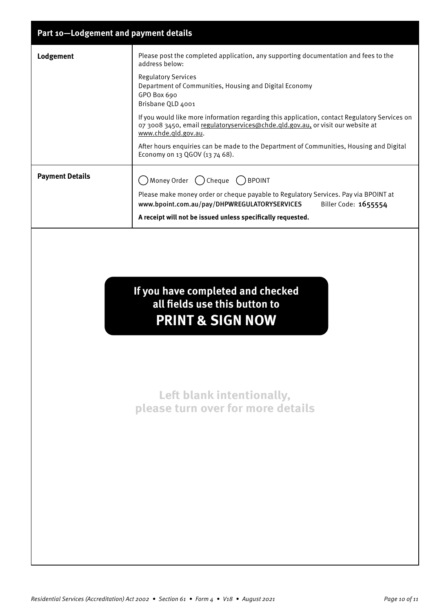| Part 10-Lodgement and payment details |                                                                                                                                                                                                          |
|---------------------------------------|----------------------------------------------------------------------------------------------------------------------------------------------------------------------------------------------------------|
| Lodgement                             | Please post the completed application, any supporting documentation and fees to the<br>address below:                                                                                                    |
|                                       | <b>Regulatory Services</b><br>Department of Communities, Housing and Digital Economy<br>GPO Box 690<br>Brisbane QLD 4001                                                                                 |
|                                       | If you would like more information regarding this application, contact Regulatory Services on<br>07 3008 3450, email regulatoryservices@chde.qld.gov.au, or visit our website at<br>www.chde.gld.gov.au. |
|                                       | After hours enquiries can be made to the Department of Communities, Housing and Digital<br>Economy on 13 QGOV (13 74 68).                                                                                |
| <b>Payment Details</b>                | Money Order () Cheque<br>$( )$ BPOINT                                                                                                                                                                    |
|                                       | Please make money order or cheque payable to Regulatory Services. Pay via BPOINT at<br>Biller Code: 1655554<br>www.bpoint.com.au/pay/DHPWREGULATORYSERVICES                                              |
|                                       | A receipt will not be issued unless specifically requested.                                                                                                                                              |
|                                       | If you have completed and checked<br>all fields use this button to<br><b>PRINT &amp; SIGN NOW</b>                                                                                                        |

**Left blank intentionally, please turn over for more details**